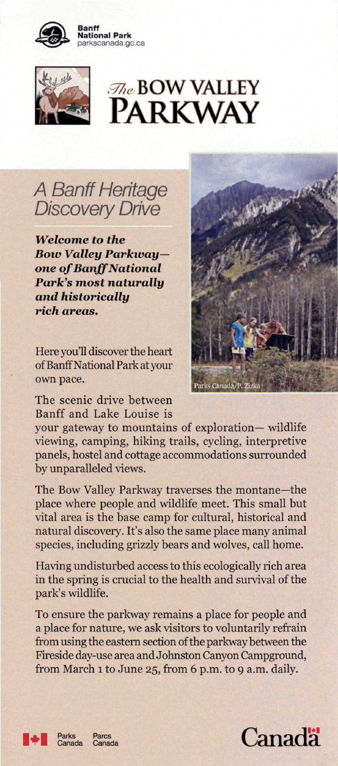

**Banff National Park**  parkscanada.gc.ca



## A Banff Heritage Discovery Drive

*Welcome to the Boiv Valley Parkwayone of Banff National Park's most naturally and historically rich areas.* 

Here you'll discover the heart of Banff National Park at your own pace.



The scenic drive between Banff and Lake Louise is

your gateway to mountains of exploration— wildlife viewing, camping, hiking trails, cycling, interpretive panels, hostel and cottage accommodations surrounded by unparalleled views.

The Bow Valley Parkway traverses the montane—the place where people and wildlife meet. This small but vital area is the base camp for cultural, historical and natural discovery. It's also the same place many animal species, including grizzly bears and wolves, call home.

Having undisturbed access to this ecologically rich area in the spring is crucial to the health and survival of the park's wildlife.

To ensure the parkway remains a place for people and a place for nature, we ask visitors to voluntarily refrain from using the eastern section of the parkway between the Fireside day-use area and Johnston Canyon Campground, from March 1 to June 25, from 6 p.m. to 9 a.m. daily.